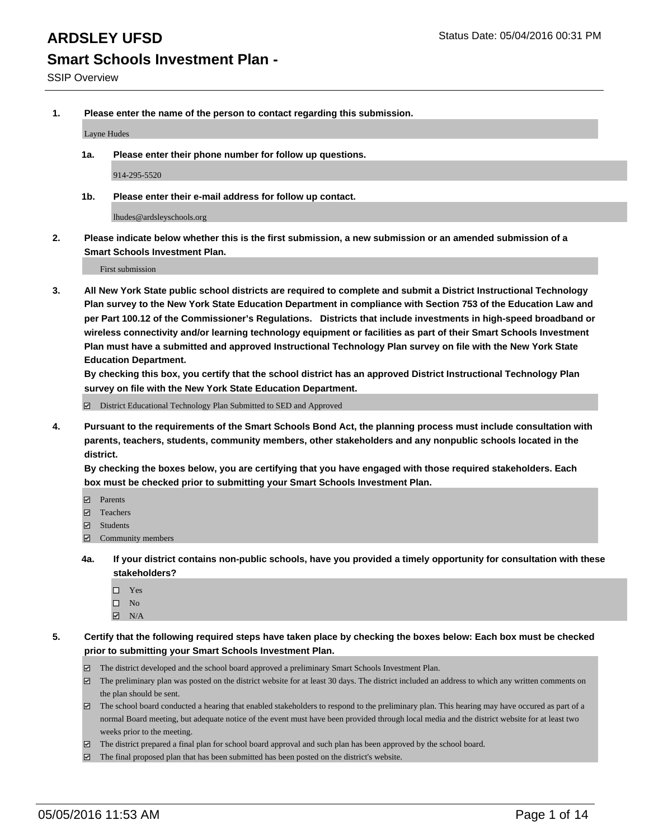**1. Please enter the name of the person to contact regarding this submission.**

Layne Hudes

**1a. Please enter their phone number for follow up questions.**

914-295-5520

**1b. Please enter their e-mail address for follow up contact.**

lhudes@ardsleyschools.org

**2. Please indicate below whether this is the first submission, a new submission or an amended submission of a Smart Schools Investment Plan.**

First submission

**3. All New York State public school districts are required to complete and submit a District Instructional Technology Plan survey to the New York State Education Department in compliance with Section 753 of the Education Law and per Part 100.12 of the Commissioner's Regulations. Districts that include investments in high-speed broadband or wireless connectivity and/or learning technology equipment or facilities as part of their Smart Schools Investment Plan must have a submitted and approved Instructional Technology Plan survey on file with the New York State Education Department.** 

**By checking this box, you certify that the school district has an approved District Instructional Technology Plan survey on file with the New York State Education Department.**

■ District Educational Technology Plan Submitted to SED and Approved

**4. Pursuant to the requirements of the Smart Schools Bond Act, the planning process must include consultation with parents, teachers, students, community members, other stakeholders and any nonpublic schools located in the district.** 

**By checking the boxes below, you are certifying that you have engaged with those required stakeholders. Each box must be checked prior to submitting your Smart Schools Investment Plan.**

- **Parents**
- □ Teachers
- Students
- $\boxdot$  Community members
- **4a. If your district contains non-public schools, have you provided a timely opportunity for consultation with these stakeholders?**
	- Yes
	- $\square$  No
	- $\boxtimes$  N/A
- **5. Certify that the following required steps have taken place by checking the boxes below: Each box must be checked prior to submitting your Smart Schools Investment Plan.**
	- The district developed and the school board approved a preliminary Smart Schools Investment Plan.
	- The preliminary plan was posted on the district website for at least 30 days. The district included an address to which any written comments on the plan should be sent.
	- $\Box$  The school board conducted a hearing that enabled stakeholders to respond to the preliminary plan. This hearing may have occured as part of a normal Board meeting, but adequate notice of the event must have been provided through local media and the district website for at least two weeks prior to the meeting.
	- The district prepared a final plan for school board approval and such plan has been approved by the school board.
	- The final proposed plan that has been submitted has been posted on the district's website.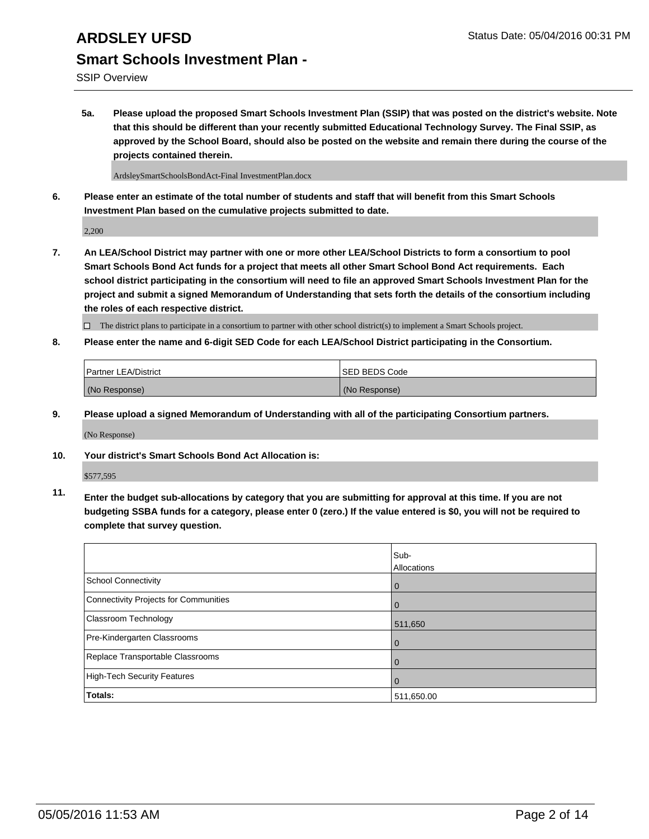SSIP Overview

**5a. Please upload the proposed Smart Schools Investment Plan (SSIP) that was posted on the district's website. Note that this should be different than your recently submitted Educational Technology Survey. The Final SSIP, as approved by the School Board, should also be posted on the website and remain there during the course of the projects contained therein.**

ArdsleySmartSchoolsBondAct-Final InvestmentPlan.docx

**6. Please enter an estimate of the total number of students and staff that will benefit from this Smart Schools Investment Plan based on the cumulative projects submitted to date.**

2,200

**7. An LEA/School District may partner with one or more other LEA/School Districts to form a consortium to pool Smart Schools Bond Act funds for a project that meets all other Smart School Bond Act requirements. Each school district participating in the consortium will need to file an approved Smart Schools Investment Plan for the project and submit a signed Memorandum of Understanding that sets forth the details of the consortium including the roles of each respective district.**

 $\Box$  The district plans to participate in a consortium to partner with other school district(s) to implement a Smart Schools project.

**8. Please enter the name and 6-digit SED Code for each LEA/School District participating in the Consortium.**

| Partner LEA/District | <b>ISED BEDS Code</b> |
|----------------------|-----------------------|
| (No Response)        | (No Response)         |

**9. Please upload a signed Memorandum of Understanding with all of the participating Consortium partners.**

(No Response)

**10. Your district's Smart Schools Bond Act Allocation is:**

\$577,595

**11. Enter the budget sub-allocations by category that you are submitting for approval at this time. If you are not budgeting SSBA funds for a category, please enter 0 (zero.) If the value entered is \$0, you will not be required to complete that survey question.**

|                                       | Sub-<br>Allocations |
|---------------------------------------|---------------------|
| <b>School Connectivity</b>            | 0                   |
| Connectivity Projects for Communities | 0                   |
| Classroom Technology                  | 511,650             |
| Pre-Kindergarten Classrooms           | $\Omega$            |
| Replace Transportable Classrooms      | $\Omega$            |
| High-Tech Security Features           | $\Omega$            |
| Totals:                               | 511,650.00          |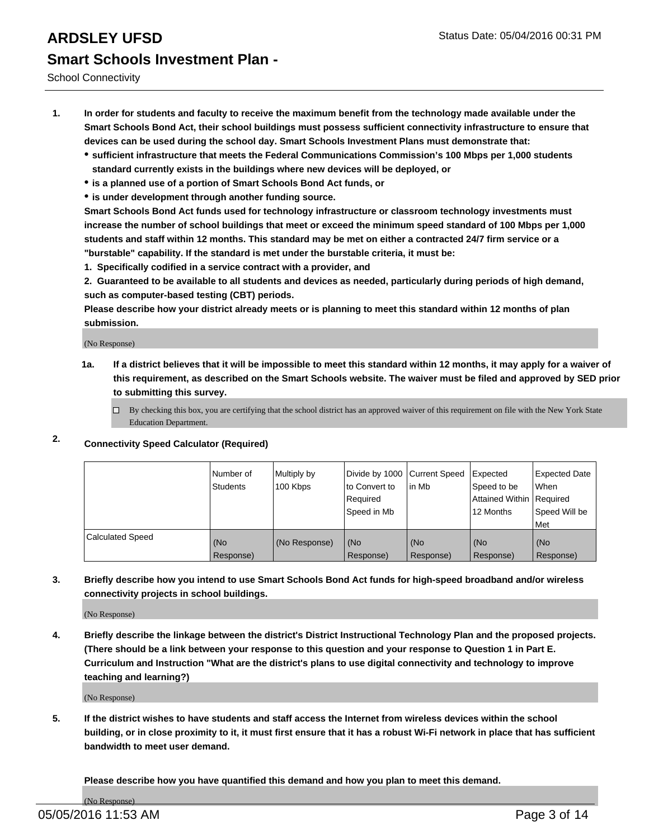School Connectivity

- **1. In order for students and faculty to receive the maximum benefit from the technology made available under the Smart Schools Bond Act, their school buildings must possess sufficient connectivity infrastructure to ensure that devices can be used during the school day. Smart Schools Investment Plans must demonstrate that:**
	- **sufficient infrastructure that meets the Federal Communications Commission's 100 Mbps per 1,000 students standard currently exists in the buildings where new devices will be deployed, or**
	- **is a planned use of a portion of Smart Schools Bond Act funds, or**
	- **is under development through another funding source.**

**Smart Schools Bond Act funds used for technology infrastructure or classroom technology investments must increase the number of school buildings that meet or exceed the minimum speed standard of 100 Mbps per 1,000 students and staff within 12 months. This standard may be met on either a contracted 24/7 firm service or a "burstable" capability. If the standard is met under the burstable criteria, it must be:**

**1. Specifically codified in a service contract with a provider, and**

**2. Guaranteed to be available to all students and devices as needed, particularly during periods of high demand, such as computer-based testing (CBT) periods.**

**Please describe how your district already meets or is planning to meet this standard within 12 months of plan submission.**

(No Response)

- **1a. If a district believes that it will be impossible to meet this standard within 12 months, it may apply for a waiver of this requirement, as described on the Smart Schools website. The waiver must be filed and approved by SED prior to submitting this survey.**
	- □ By checking this box, you are certifying that the school district has an approved waiver of this requirement on file with the New York State Education Department.
- **2. Connectivity Speed Calculator (Required)**

|                         | i Number of<br>Students | Multiply by<br>100 Kbps | Divide by 1000 Current Speed<br>Ito Convert to<br>Required<br>l Speed in Mb | lin Mb           | Expected<br>Speed to be<br>Attained Within   Required<br>12 Months | Expected Date<br><b>When</b><br>Speed Will be<br>l Met |
|-------------------------|-------------------------|-------------------------|-----------------------------------------------------------------------------|------------------|--------------------------------------------------------------------|--------------------------------------------------------|
| <b>Calculated Speed</b> | (No<br>Response)        | (No Response)           | (No<br>Response)                                                            | (No<br>Response) | (No<br>Response)                                                   | l (No<br>Response)                                     |

### **3. Briefly describe how you intend to use Smart Schools Bond Act funds for high-speed broadband and/or wireless connectivity projects in school buildings.**

(No Response)

**4. Briefly describe the linkage between the district's District Instructional Technology Plan and the proposed projects. (There should be a link between your response to this question and your response to Question 1 in Part E. Curriculum and Instruction "What are the district's plans to use digital connectivity and technology to improve teaching and learning?)**

(No Response)

**5. If the district wishes to have students and staff access the Internet from wireless devices within the school building, or in close proximity to it, it must first ensure that it has a robust Wi-Fi network in place that has sufficient bandwidth to meet user demand.**

**Please describe how you have quantified this demand and how you plan to meet this demand.**

(No Response)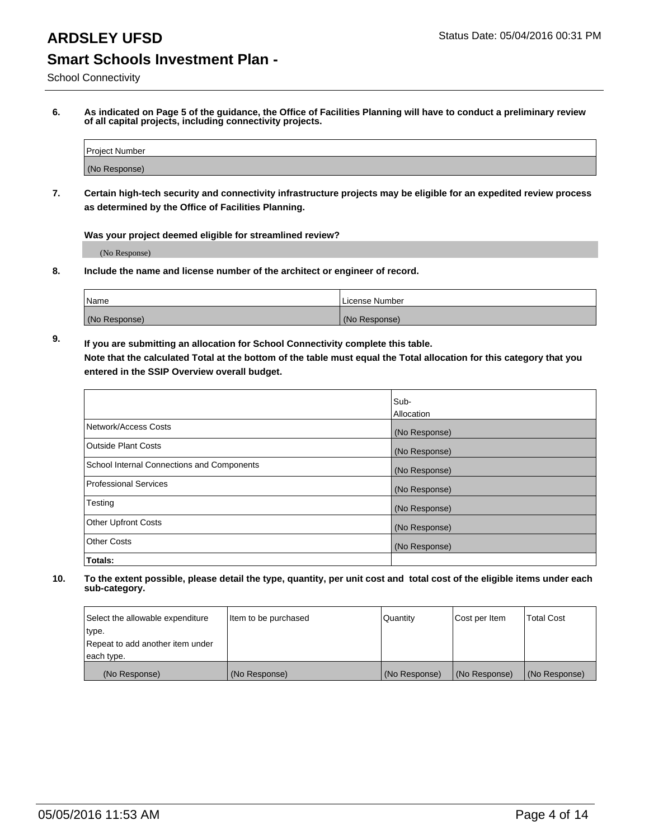## **ARDSLEY UFSD** Status Date: 05/04/2016 00:31 PM

## **Smart Schools Investment Plan -**

School Connectivity

**6. As indicated on Page 5 of the guidance, the Office of Facilities Planning will have to conduct a preliminary review of all capital projects, including connectivity projects.**

| Project Number |  |
|----------------|--|
| (No Response)  |  |

**7. Certain high-tech security and connectivity infrastructure projects may be eligible for an expedited review process as determined by the Office of Facilities Planning.**

**Was your project deemed eligible for streamlined review?**

(No Response)

**8. Include the name and license number of the architect or engineer of record.**

| Name          | l License Number |
|---------------|------------------|
| (No Response) | (No Response)    |

**9. If you are submitting an allocation for School Connectivity complete this table. Note that the calculated Total at the bottom of the table must equal the Total allocation for this category that you entered in the SSIP Overview overall budget.** 

|                                            | Sub-              |
|--------------------------------------------|-------------------|
|                                            | <b>Allocation</b> |
| Network/Access Costs                       | (No Response)     |
| <b>Outside Plant Costs</b>                 | (No Response)     |
| School Internal Connections and Components | (No Response)     |
| <b>Professional Services</b>               | (No Response)     |
| Testing                                    | (No Response)     |
| <b>Other Upfront Costs</b>                 | (No Response)     |
| <b>Other Costs</b>                         | (No Response)     |
| Totals:                                    |                   |

| Select the allowable expenditure | Item to be purchased | Quantity      | Cost per Item | <b>Total Cost</b> |
|----------------------------------|----------------------|---------------|---------------|-------------------|
| type.                            |                      |               |               |                   |
| Repeat to add another item under |                      |               |               |                   |
| each type.                       |                      |               |               |                   |
| (No Response)                    | (No Response)        | (No Response) | (No Response) | (No Response)     |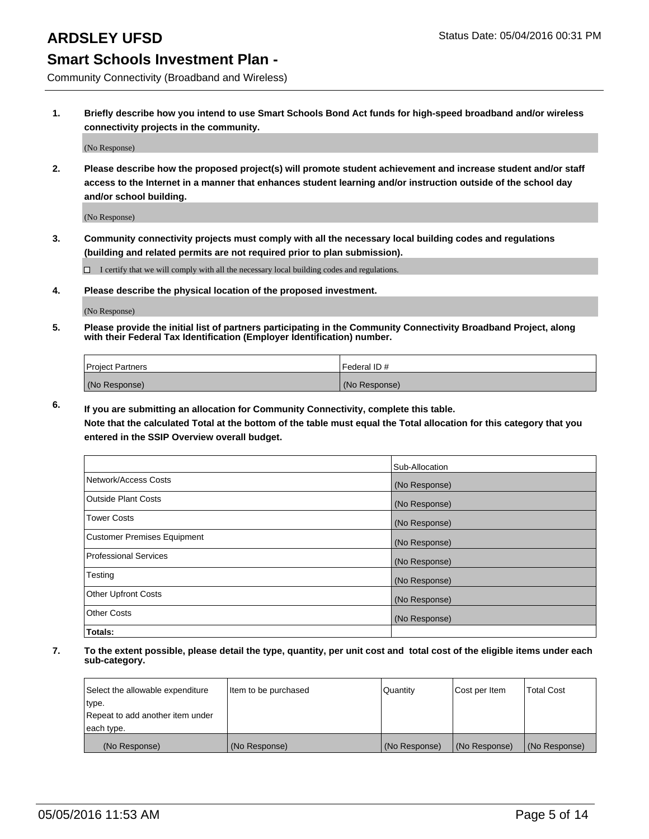Community Connectivity (Broadband and Wireless)

**1. Briefly describe how you intend to use Smart Schools Bond Act funds for high-speed broadband and/or wireless connectivity projects in the community.**

(No Response)

**2. Please describe how the proposed project(s) will promote student achievement and increase student and/or staff access to the Internet in a manner that enhances student learning and/or instruction outside of the school day and/or school building.**

(No Response)

**3. Community connectivity projects must comply with all the necessary local building codes and regulations (building and related permits are not required prior to plan submission).**

 $\Box$  I certify that we will comply with all the necessary local building codes and regulations.

**4. Please describe the physical location of the proposed investment.**

(No Response)

**5. Please provide the initial list of partners participating in the Community Connectivity Broadband Project, along with their Federal Tax Identification (Employer Identification) number.**

| <b>Project Partners</b> | I Federal ID # |
|-------------------------|----------------|
| (No Response)           | (No Response)  |

**6. If you are submitting an allocation for Community Connectivity, complete this table.**

**Note that the calculated Total at the bottom of the table must equal the Total allocation for this category that you entered in the SSIP Overview overall budget.**

|                                    | Sub-Allocation |
|------------------------------------|----------------|
| Network/Access Costs               | (No Response)  |
| Outside Plant Costs                | (No Response)  |
| <b>Tower Costs</b>                 | (No Response)  |
| <b>Customer Premises Equipment</b> | (No Response)  |
| Professional Services              | (No Response)  |
| Testing                            | (No Response)  |
| <b>Other Upfront Costs</b>         | (No Response)  |
| Other Costs                        | (No Response)  |
| Totals:                            |                |

| Select the allowable expenditure | Item to be purchased | l Quantitv    | Cost per Item | <b>Total Cost</b> |
|----------------------------------|----------------------|---------------|---------------|-------------------|
| type.                            |                      |               |               |                   |
| Repeat to add another item under |                      |               |               |                   |
| each type.                       |                      |               |               |                   |
| (No Response)                    | (No Response)        | (No Response) | (No Response) | (No Response)     |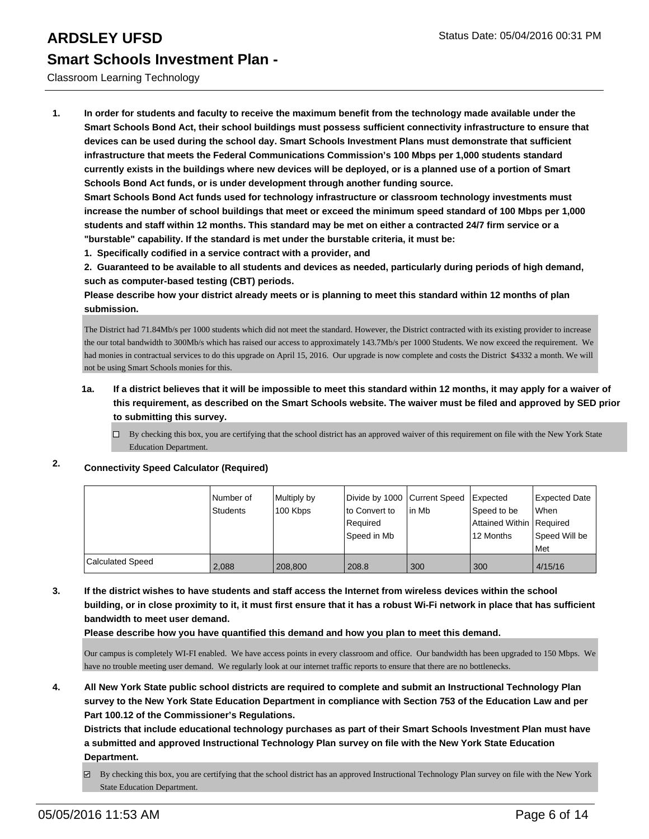### Classroom Learning Technology

**1. In order for students and faculty to receive the maximum benefit from the technology made available under the Smart Schools Bond Act, their school buildings must possess sufficient connectivity infrastructure to ensure that devices can be used during the school day. Smart Schools Investment Plans must demonstrate that sufficient infrastructure that meets the Federal Communications Commission's 100 Mbps per 1,000 students standard currently exists in the buildings where new devices will be deployed, or is a planned use of a portion of Smart Schools Bond Act funds, or is under development through another funding source.**

**Smart Schools Bond Act funds used for technology infrastructure or classroom technology investments must increase the number of school buildings that meet or exceed the minimum speed standard of 100 Mbps per 1,000 students and staff within 12 months. This standard may be met on either a contracted 24/7 firm service or a "burstable" capability. If the standard is met under the burstable criteria, it must be:**

**1. Specifically codified in a service contract with a provider, and**

**2. Guaranteed to be available to all students and devices as needed, particularly during periods of high demand, such as computer-based testing (CBT) periods.**

**Please describe how your district already meets or is planning to meet this standard within 12 months of plan submission.**

The District had 71.84Mb/s per 1000 students which did not meet the standard. However, the District contracted with its existing provider to increase the our total bandwidth to 300Mb/s which has raised our access to approximately 143.7Mb/s per 1000 Students. We now exceed the requirement. We had monies in contractual services to do this upgrade on April 15, 2016. Our upgrade is now complete and costs the District \$4332 a month. We will not be using Smart Schools monies for this.

### **1a. If a district believes that it will be impossible to meet this standard within 12 months, it may apply for a waiver of this requirement, as described on the Smart Schools website. The waiver must be filed and approved by SED prior to submitting this survey.**

 $\Box$  By checking this box, you are certifying that the school district has an approved waiver of this requirement on file with the New York State Education Department.

## **2. Connectivity Speed Calculator (Required)**

|                         | I Number of<br>Students | Multiply by<br>100 Kbps | Divide by 1000 Current Speed<br>to Convert to<br>l Reauired | lin Mb | <b>Expected</b><br>Speed to be<br>Attained Within Required | Expected Date<br><b>When</b> |
|-------------------------|-------------------------|-------------------------|-------------------------------------------------------------|--------|------------------------------------------------------------|------------------------------|
|                         |                         |                         | Speed in Mb                                                 |        | 12 Months                                                  | Speed Will be<br><b>Met</b>  |
| <b>Calculated Speed</b> | 2.088                   | 208,800                 | 208.8                                                       | 300    | 300                                                        | 4/15/16                      |

**3. If the district wishes to have students and staff access the Internet from wireless devices within the school building, or in close proximity to it, it must first ensure that it has a robust Wi-Fi network in place that has sufficient bandwidth to meet user demand.**

**Please describe how you have quantified this demand and how you plan to meet this demand.**

Our campus is completely WI-FI enabled. We have access points in every classroom and office. Our bandwidth has been upgraded to 150 Mbps. We have no trouble meeting user demand. We regularly look at our internet traffic reports to ensure that there are no bottlenecks.

**4. All New York State public school districts are required to complete and submit an Instructional Technology Plan survey to the New York State Education Department in compliance with Section 753 of the Education Law and per Part 100.12 of the Commissioner's Regulations.**

**Districts that include educational technology purchases as part of their Smart Schools Investment Plan must have a submitted and approved Instructional Technology Plan survey on file with the New York State Education Department.**

By checking this box, you are certifying that the school district has an approved Instructional Technology Plan survey on file with the New York State Education Department.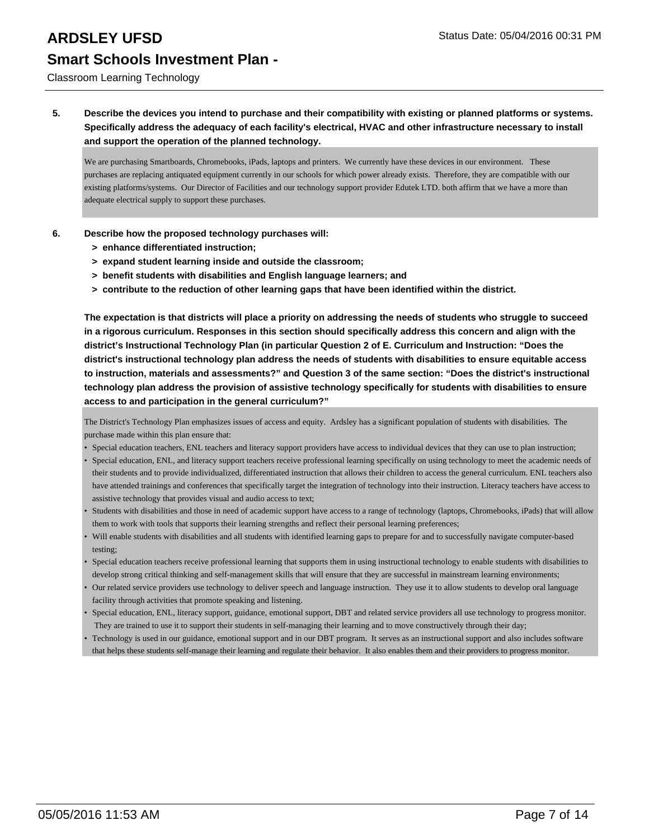### Classroom Learning Technology

### **5. Describe the devices you intend to purchase and their compatibility with existing or planned platforms or systems. Specifically address the adequacy of each facility's electrical, HVAC and other infrastructure necessary to install and support the operation of the planned technology.**

We are purchasing Smartboards, Chromebooks, iPads, laptops and printers. We currently have these devices in our environment. These purchases are replacing antiquated equipment currently in our schools for which power already exists. Therefore, they are compatible with our existing platforms/systems. Our Director of Facilities and our technology support provider Edutek LTD. both affirm that we have a more than adequate electrical supply to support these purchases.

- **6. Describe how the proposed technology purchases will:**
	- **> enhance differentiated instruction;**
	- **> expand student learning inside and outside the classroom;**
	- **> benefit students with disabilities and English language learners; and**
	- **> contribute to the reduction of other learning gaps that have been identified within the district.**

**The expectation is that districts will place a priority on addressing the needs of students who struggle to succeed in a rigorous curriculum. Responses in this section should specifically address this concern and align with the district's Instructional Technology Plan (in particular Question 2 of E. Curriculum and Instruction: "Does the district's instructional technology plan address the needs of students with disabilities to ensure equitable access to instruction, materials and assessments?" and Question 3 of the same section: "Does the district's instructional technology plan address the provision of assistive technology specifically for students with disabilities to ensure access to and participation in the general curriculum?"**

The District's Technology Plan emphasizes issues of access and equity. Ardsley has a significant population of students with disabilities. The purchase made within this plan ensure that:

- Special education teachers, ENL teachers and literacy support providers have access to individual devices that they can use to plan instruction;
- Special education, ENL, and literacy support teachers receive professional learning specifically on using technology to meet the academic needs of their students and to provide individualized, differentiated instruction that allows their children to access the general curriculum. ENL teachers also have attended trainings and conferences that specifically target the integration of technology into their instruction. Literacy teachers have access to assistive technology that provides visual and audio access to text;
- Students with disabilities and those in need of academic support have access to a range of technology (laptops, Chromebooks, iPads) that will allow them to work with tools that supports their learning strengths and reflect their personal learning preferences; •
- Will enable students with disabilities and all students with identified learning gaps to prepare for and to successfully navigate computer-based testing; •
- Special education teachers receive professional learning that supports them in using instructional technology to enable students with disabilities to develop strong critical thinking and self-management skills that will ensure that they are successful in mainstream learning environments;
- Our related service providers use technology to deliver speech and language instruction. They use it to allow students to develop oral language facility through activities that promote speaking and listening. •
- Special education, ENL, literacy support, guidance, emotional support, DBT and related service providers all use technology to progress monitor. They are trained to use it to support their students in self-managing their learning and to move constructively through their day;
- Technology is used in our guidance, emotional support and in our DBT program. It serves as an instructional support and also includes software that helps these students self-manage their learning and regulate their behavior. It also enables them and their providers to progress monitor. •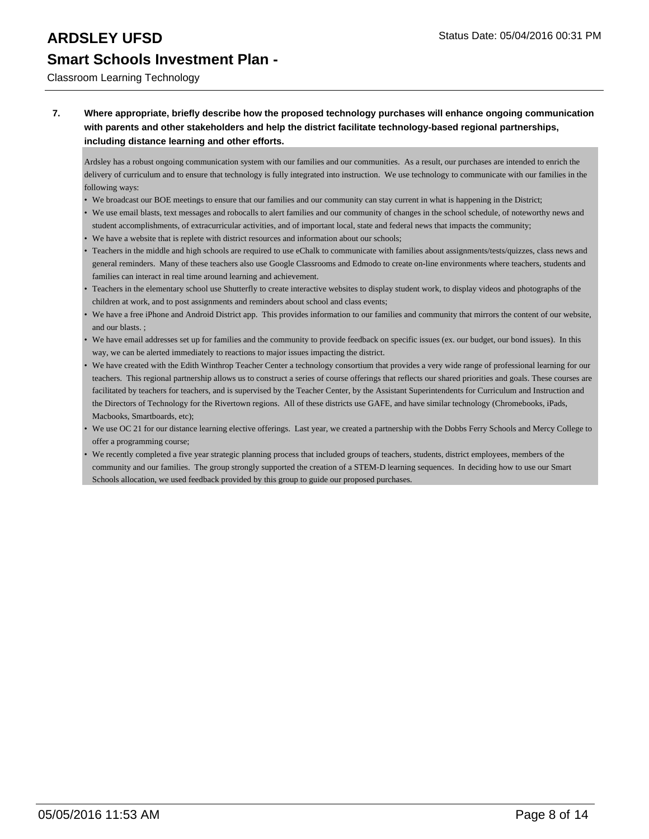### Classroom Learning Technology

**7. Where appropriate, briefly describe how the proposed technology purchases will enhance ongoing communication with parents and other stakeholders and help the district facilitate technology-based regional partnerships, including distance learning and other efforts.**

Ardsley has a robust ongoing communication system with our families and our communities. As a result, our purchases are intended to enrich the delivery of curriculum and to ensure that technology is fully integrated into instruction. We use technology to communicate with our families in the following ways:

- We broadcast our BOE meetings to ensure that our families and our community can stay current in what is happening in the District;
- We use email blasts, text messages and robocalls to alert families and our community of changes in the school schedule, of noteworthy news and student accomplishments, of extracurricular activities, and of important local, state and federal news that impacts the community;
- We have a website that is replete with district resources and information about our schools;
- Teachers in the middle and high schools are required to use eChalk to communicate with families about assignments/tests/quizzes, class news and general reminders. Many of these teachers also use Google Classrooms and Edmodo to create on-line environments where teachers, students and families can interact in real time around learning and achievement.
- Teachers in the elementary school use Shutterfly to create interactive websites to display student work, to display videos and photographs of the children at work, and to post assignments and reminders about school and class events;
- We have a free iPhone and Android District app. This provides information to our families and community that mirrors the content of our website, and our blasts. ;
- We have email addresses set up for families and the community to provide feedback on specific issues (ex. our budget, our bond issues). In this way, we can be alerted immediately to reactions to major issues impacting the district.
- We have created with the Edith Winthrop Teacher Center a technology consortium that provides a very wide range of professional learning for our teachers. This regional partnership allows us to construct a series of course offerings that reflects our shared priorities and goals. These courses are facilitated by teachers for teachers, and is supervised by the Teacher Center, by the Assistant Superintendents for Curriculum and Instruction and the Directors of Technology for the Rivertown regions. All of these districts use GAFE, and have similar technology (Chromebooks, iPads, Macbooks, Smartboards, etc);
- We use OC 21 for our distance learning elective offerings. Last year, we created a partnership with the Dobbs Ferry Schools and Mercy College to offer a programming course;
- We recently completed a five year strategic planning process that included groups of teachers, students, district employees, members of the community and our families. The group strongly supported the creation of a STEM-D learning sequences. In deciding how to use our Smart Schools allocation, we used feedback provided by this group to guide our proposed purchases.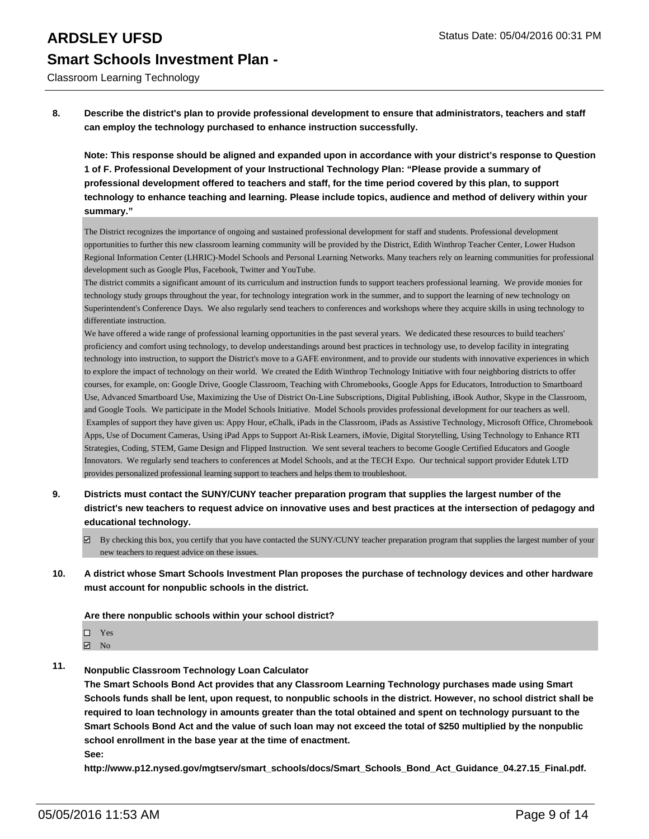Classroom Learning Technology

**8. Describe the district's plan to provide professional development to ensure that administrators, teachers and staff can employ the technology purchased to enhance instruction successfully.**

**Note: This response should be aligned and expanded upon in accordance with your district's response to Question 1 of F. Professional Development of your Instructional Technology Plan: "Please provide a summary of professional development offered to teachers and staff, for the time period covered by this plan, to support technology to enhance teaching and learning. Please include topics, audience and method of delivery within your summary."**

The District recognizes the importance of ongoing and sustained professional development for staff and students. Professional development opportunities to further this new classroom learning community will be provided by the District, Edith Winthrop Teacher Center, Lower Hudson Regional Information Center (LHRIC)-Model Schools and Personal Learning Networks. Many teachers rely on learning communities for professional development such as Google Plus, Facebook, Twitter and YouTube.

The district commits a significant amount of its curriculum and instruction funds to support teachers professional learning. We provide monies for technology study groups throughout the year, for technology integration work in the summer, and to support the learning of new technology on Superintendent's Conference Days. We also regularly send teachers to conferences and workshops where they acquire skills in using technology to differentiate instruction.

We have offered a wide range of professional learning opportunities in the past several years. We dedicated these resources to build teachers' proficiency and comfort using technology, to develop understandings around best practices in technology use, to develop facility in integrating technology into instruction, to support the District's move to a GAFE environment, and to provide our students with innovative experiences in which to explore the impact of technology on their world. We created the Edith Winthrop Technology Initiative with four neighboring districts to offer courses, for example, on: Google Drive, Google Classroom, Teaching with Chromebooks, Google Apps for Educators, Introduction to Smartboard Use, Advanced Smartboard Use, Maximizing the Use of District On-Line Subscriptions, Digital Publishing, iBook Author, Skype in the Classroom, and Google Tools. We participate in the Model Schools Initiative. Model Schools provides professional development for our teachers as well. Examples of support they have given us: Appy Hour, eChalk, iPads in the Classroom, iPads as Assistive Technology, Microsoft Office, Chromebook Apps, Use of Document Cameras, Using iPad Apps to Support At-Risk Learners, iMovie, Digital Storytelling, Using Technology to Enhance RTI Strategies, Coding, STEM, Game Design and Flipped Instruction. We sent several teachers to become Google Certified Educators and Google Innovators. We regularly send teachers to conferences at Model Schools, and at the TECH Expo. Our technical support provider Edutek LTD provides personalized professional learning support to teachers and helps them to troubleshoot.

- **9. Districts must contact the SUNY/CUNY teacher preparation program that supplies the largest number of the district's new teachers to request advice on innovative uses and best practices at the intersection of pedagogy and educational technology.**
	- By checking this box, you certify that you have contacted the SUNY/CUNY teacher preparation program that supplies the largest number of your new teachers to request advice on these issues.
- **10. A district whose Smart Schools Investment Plan proposes the purchase of technology devices and other hardware must account for nonpublic schools in the district.**

**Are there nonpublic schools within your school district?**

- Yes
- **☑** No
- **11. Nonpublic Classroom Technology Loan Calculator**

**The Smart Schools Bond Act provides that any Classroom Learning Technology purchases made using Smart Schools funds shall be lent, upon request, to nonpublic schools in the district. However, no school district shall be required to loan technology in amounts greater than the total obtained and spent on technology pursuant to the Smart Schools Bond Act and the value of such loan may not exceed the total of \$250 multiplied by the nonpublic school enrollment in the base year at the time of enactment.**

**See:**

**http://www.p12.nysed.gov/mgtserv/smart\_schools/docs/Smart\_Schools\_Bond\_Act\_Guidance\_04.27.15\_Final.pdf.**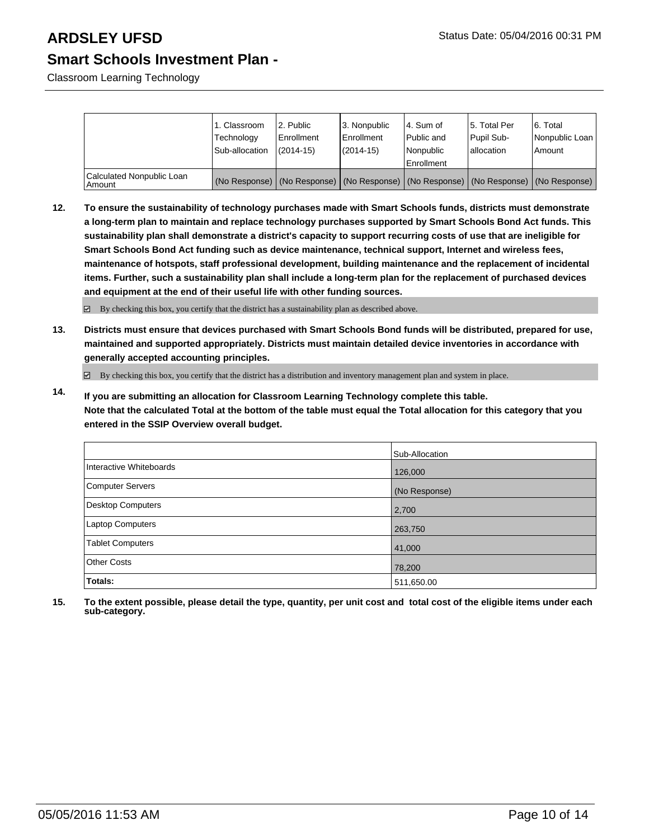Classroom Learning Technology

|                                     | 1. Classroom<br>Technology<br>Sub-allocation | 2. Public<br>Enrollment<br>$(2014 - 15)$ | 3. Nonpublic<br>l Enrollment<br>$(2014 - 15)$ | 4. Sum of<br>Public and<br>Nonpublic                                                          | 5. Total Per<br>Pupil Sub-<br>lallocation | 6. Total<br>Nonpublic Loan<br>l Amount |
|-------------------------------------|----------------------------------------------|------------------------------------------|-----------------------------------------------|-----------------------------------------------------------------------------------------------|-------------------------------------------|----------------------------------------|
|                                     |                                              |                                          |                                               | Enrollment                                                                                    |                                           |                                        |
| Calculated Nonpublic Loan<br>Amount |                                              |                                          |                                               | (No Response)   (No Response)   (No Response)   (No Response)   (No Response)   (No Response) |                                           |                                        |

**12. To ensure the sustainability of technology purchases made with Smart Schools funds, districts must demonstrate a long-term plan to maintain and replace technology purchases supported by Smart Schools Bond Act funds. This sustainability plan shall demonstrate a district's capacity to support recurring costs of use that are ineligible for Smart Schools Bond Act funding such as device maintenance, technical support, Internet and wireless fees, maintenance of hotspots, staff professional development, building maintenance and the replacement of incidental items. Further, such a sustainability plan shall include a long-term plan for the replacement of purchased devices and equipment at the end of their useful life with other funding sources.**

By checking this box, you certify that the district has a sustainability plan as described above.

**13. Districts must ensure that devices purchased with Smart Schools Bond funds will be distributed, prepared for use, maintained and supported appropriately. Districts must maintain detailed device inventories in accordance with generally accepted accounting principles.**

By checking this box, you certify that the district has a distribution and inventory management plan and system in place.

**14. If you are submitting an allocation for Classroom Learning Technology complete this table. Note that the calculated Total at the bottom of the table must equal the Total allocation for this category that you entered in the SSIP Overview overall budget.**

|                         | Sub-Allocation |
|-------------------------|----------------|
| Interactive Whiteboards | 126,000        |
| Computer Servers        | (No Response)  |
| Desktop Computers       | 2,700          |
| Laptop Computers        | 263,750        |
| <b>Tablet Computers</b> | 41,000         |
| <b>Other Costs</b>      | 78,200         |
| Totals:                 | 511,650.00     |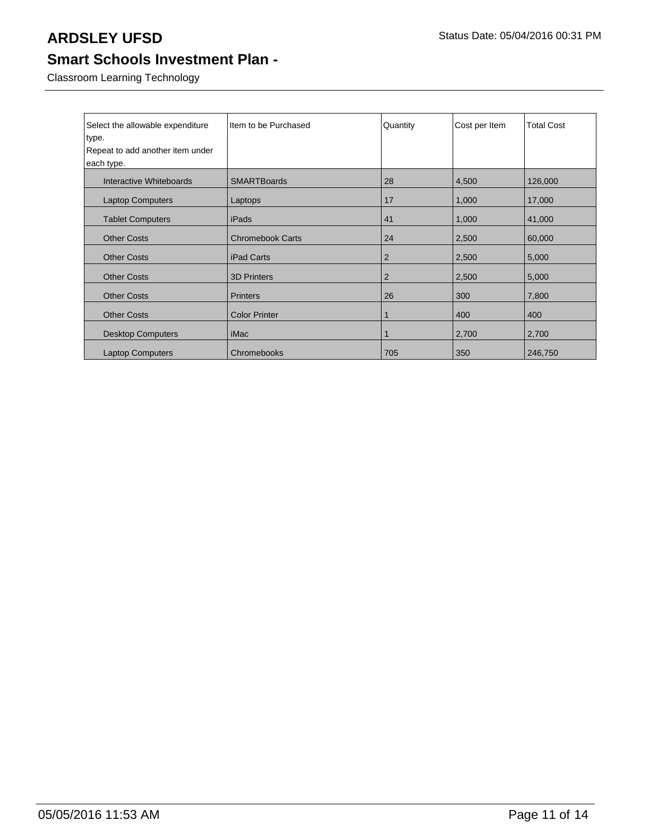Classroom Learning Technology

| Select the allowable expenditure | Item to be Purchased    | Quantity       | Cost per Item | <b>Total Cost</b> |
|----------------------------------|-------------------------|----------------|---------------|-------------------|
| type.                            |                         |                |               |                   |
| Repeat to add another item under |                         |                |               |                   |
| each type.                       |                         |                |               |                   |
| Interactive Whiteboards          | <b>SMARTBoards</b>      | 28             | 4,500         | 126,000           |
| <b>Laptop Computers</b>          | Laptops                 | 17             | 1,000         | 17,000            |
| <b>Tablet Computers</b>          | iPads                   | 41             | 1,000         | 41,000            |
| <b>Other Costs</b>               | <b>Chromebook Carts</b> | 24             | 2,500         | 60,000            |
| <b>Other Costs</b>               | <b>iPad Carts</b>       | $\overline{2}$ | 2,500         | 5,000             |
| <b>Other Costs</b>               | <b>3D Printers</b>      | $\overline{2}$ | 2,500         | 5,000             |
| <b>Other Costs</b>               | <b>Printers</b>         | 26             | 300           | 7,800             |
| <b>Other Costs</b>               | <b>Color Printer</b>    | 1              | 400           | 400               |
| <b>Desktop Computers</b>         | iMac                    | 1              | 2,700         | 2,700             |
| <b>Laptop Computers</b>          | Chromebooks             | 705            | 350           | 246,750           |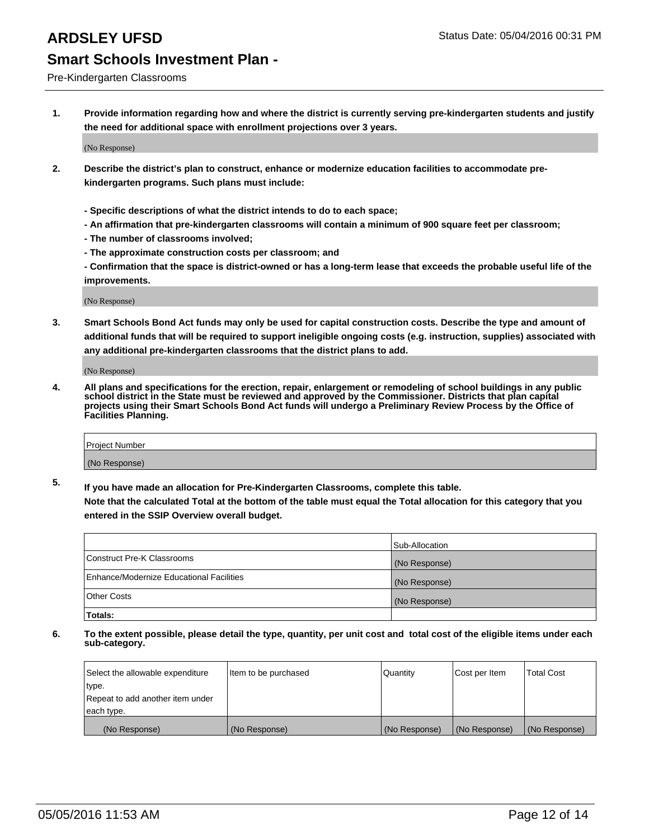Pre-Kindergarten Classrooms

**1. Provide information regarding how and where the district is currently serving pre-kindergarten students and justify the need for additional space with enrollment projections over 3 years.**

(No Response)

- **2. Describe the district's plan to construct, enhance or modernize education facilities to accommodate prekindergarten programs. Such plans must include:**
	- **Specific descriptions of what the district intends to do to each space;**
	- **An affirmation that pre-kindergarten classrooms will contain a minimum of 900 square feet per classroom;**
	- **The number of classrooms involved;**
	- **The approximate construction costs per classroom; and**
	- **Confirmation that the space is district-owned or has a long-term lease that exceeds the probable useful life of the improvements.**

(No Response)

**3. Smart Schools Bond Act funds may only be used for capital construction costs. Describe the type and amount of additional funds that will be required to support ineligible ongoing costs (e.g. instruction, supplies) associated with any additional pre-kindergarten classrooms that the district plans to add.**

(No Response)

**4. All plans and specifications for the erection, repair, enlargement or remodeling of school buildings in any public school district in the State must be reviewed and approved by the Commissioner. Districts that plan capital projects using their Smart Schools Bond Act funds will undergo a Preliminary Review Process by the Office of Facilities Planning.**

| Project Number |  |
|----------------|--|
| (No Response)  |  |

**5. If you have made an allocation for Pre-Kindergarten Classrooms, complete this table. Note that the calculated Total at the bottom of the table must equal the Total allocation for this category that you**

**entered in the SSIP Overview overall budget.**

|                                          | Sub-Allocation |
|------------------------------------------|----------------|
| Construct Pre-K Classrooms               | (No Response)  |
| Enhance/Modernize Educational Facilities | (No Response)  |
| Other Costs                              | (No Response)  |
| Totals:                                  |                |

| Select the allowable expenditure | Item to be purchased | Quantity      | Cost per Item | <b>Total Cost</b> |
|----------------------------------|----------------------|---------------|---------------|-------------------|
| type.                            |                      |               |               |                   |
| Repeat to add another item under |                      |               |               |                   |
| each type.                       |                      |               |               |                   |
| (No Response)                    | (No Response)        | (No Response) | (No Response) | (No Response)     |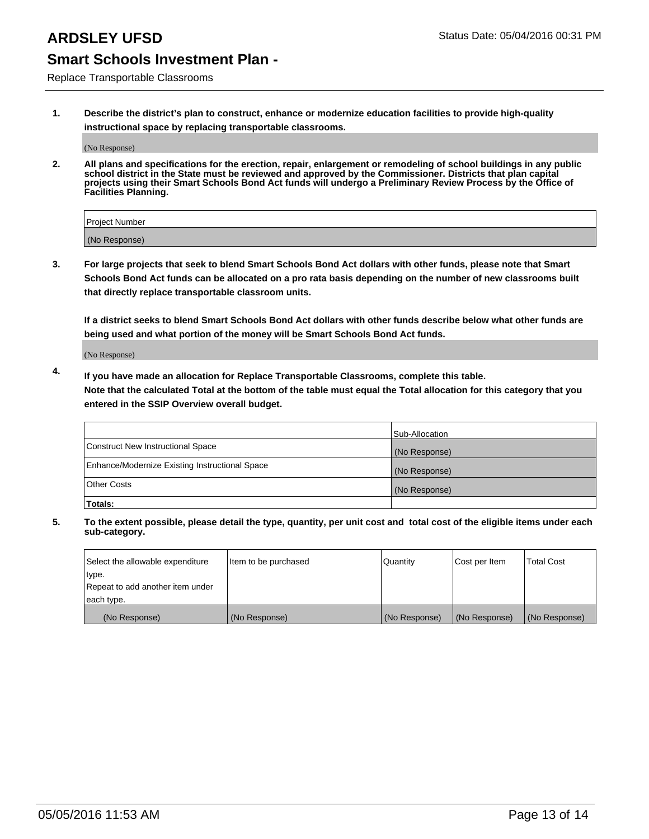Replace Transportable Classrooms

**1. Describe the district's plan to construct, enhance or modernize education facilities to provide high-quality instructional space by replacing transportable classrooms.**

(No Response)

**2. All plans and specifications for the erection, repair, enlargement or remodeling of school buildings in any public school district in the State must be reviewed and approved by the Commissioner. Districts that plan capital projects using their Smart Schools Bond Act funds will undergo a Preliminary Review Process by the Office of Facilities Planning.**

| Project Number |  |
|----------------|--|
| (No Response)  |  |

**3. For large projects that seek to blend Smart Schools Bond Act dollars with other funds, please note that Smart Schools Bond Act funds can be allocated on a pro rata basis depending on the number of new classrooms built that directly replace transportable classroom units.**

**If a district seeks to blend Smart Schools Bond Act dollars with other funds describe below what other funds are being used and what portion of the money will be Smart Schools Bond Act funds.**

(No Response)

**4. If you have made an allocation for Replace Transportable Classrooms, complete this table. Note that the calculated Total at the bottom of the table must equal the Total allocation for this category that you entered in the SSIP Overview overall budget.**

|                                                | Sub-Allocation |
|------------------------------------------------|----------------|
| Construct New Instructional Space              | (No Response)  |
| Enhance/Modernize Existing Instructional Space | (No Response)  |
| <b>Other Costs</b>                             | (No Response)  |
| Totals:                                        |                |

| Select the allowable expenditure | Item to be purchased | Quantity      | Cost per Item | <b>Total Cost</b> |
|----------------------------------|----------------------|---------------|---------------|-------------------|
| type.                            |                      |               |               |                   |
| Repeat to add another item under |                      |               |               |                   |
| each type.                       |                      |               |               |                   |
| (No Response)                    | (No Response)        | (No Response) | (No Response) | (No Response)     |